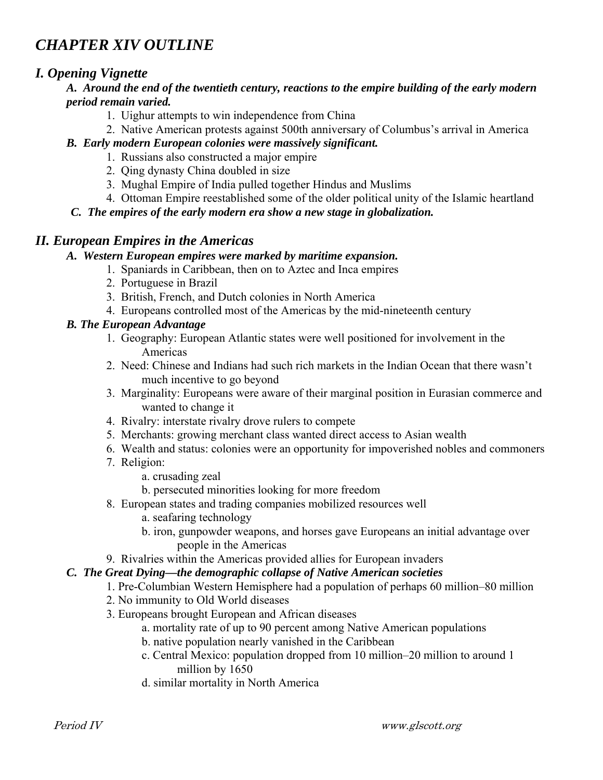# *CHAPTER XIV OUTLINE*

# *I. Opening Vignette*

## *A. Around the end of the twentieth century, reactions to the empire building of the early modern period remain varied.*

- 1. Uighur attempts to win independence from China
- 2. Native American protests against 500th anniversary of Columbus's arrival in America

## *B. Early modern European colonies were massively significant.*

- 1. Russians also constructed a major empire
- 2. Qing dynasty China doubled in size
- 3. Mughal Empire of India pulled together Hindus and Muslims
- 4. Ottoman Empire reestablished some of the older political unity of the Islamic heartland
- *C. The empires of the early modern era show a new stage in globalization.*

# *II. European Empires in the Americas*

#### *A. Western European empires were marked by maritime expansion.*

- 1. Spaniards in Caribbean, then on to Aztec and Inca empires
- 2. Portuguese in Brazil
- 3. British, French, and Dutch colonies in North America
- 4. Europeans controlled most of the Americas by the mid-nineteenth century

## *B. The European Advantage*

- 1. Geography: European Atlantic states were well positioned for involvement in the Americas
- 2. Need: Chinese and Indians had such rich markets in the Indian Ocean that there wasn't much incentive to go beyond
- 3. Marginality: Europeans were aware of their marginal position in Eurasian commerce and wanted to change it
- 4. Rivalry: interstate rivalry drove rulers to compete
- 5. Merchants: growing merchant class wanted direct access to Asian wealth
- 6. Wealth and status: colonies were an opportunity for impoverished nobles and commoners
- 7. Religion:
	- a. crusading zeal
	- b. persecuted minorities looking for more freedom
- 8. European states and trading companies mobilized resources well
	- a. seafaring technology
	- b. iron, gunpowder weapons, and horses gave Europeans an initial advantage over people in the Americas
- 9. Rivalries within the Americas provided allies for European invaders

# *C. The Great Dying—the demographic collapse of Native American societies*

- 1. Pre-Columbian Western Hemisphere had a population of perhaps 60 million–80 million
- 2. No immunity to Old World diseases
- 3. Europeans brought European and African diseases
	- a. mortality rate of up to 90 percent among Native American populations
	- b. native population nearly vanished in the Caribbean
	- c. Central Mexico: population dropped from 10 million–20 million to around 1 million by 1650
	- d. similar mortality in North America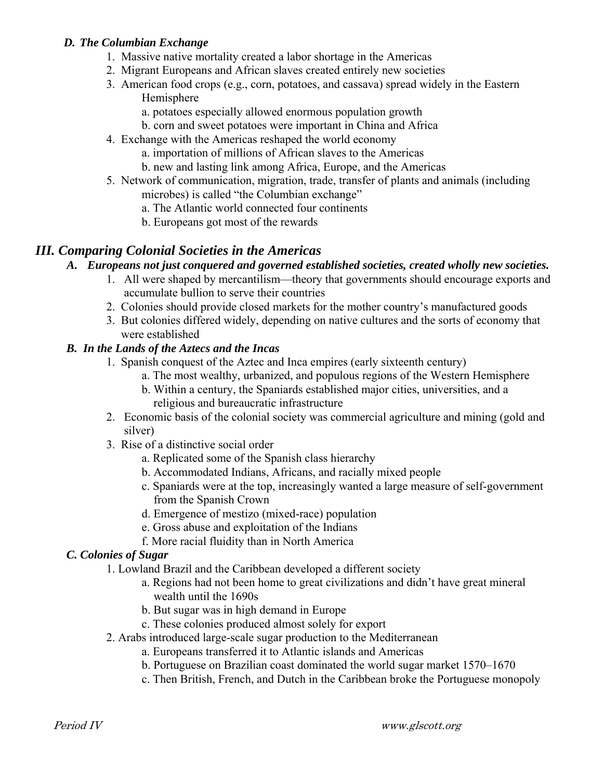#### *D. The Columbian Exchange*

- 1. Massive native mortality created a labor shortage in the Americas
- 2. Migrant Europeans and African slaves created entirely new societies
- 3. American food crops (e.g., corn, potatoes, and cassava) spread widely in the Eastern Hemisphere
	- a. potatoes especially allowed enormous population growth
	- b. corn and sweet potatoes were important in China and Africa
- 4. Exchange with the Americas reshaped the world economy
	- a. importation of millions of African slaves to the Americas
	- b. new and lasting link among Africa, Europe, and the Americas
- 5. Network of communication, migration, trade, transfer of plants and animals (including microbes) is called "the Columbian exchange"
	- a. The Atlantic world connected four continents
	- b. Europeans got most of the rewards

# *III. Comparing Colonial Societies in the Americas*

# *A. Europeans not just conquered and governed established societies, created wholly new societies.*

- 1. All were shaped by mercantilism—theory that governments should encourage exports and accumulate bullion to serve their countries
- 2. Colonies should provide closed markets for the mother country's manufactured goods
- 3. But colonies differed widely, depending on native cultures and the sorts of economy that were established

## *B. In the Lands of the Aztecs and the Incas*

- 1. Spanish conquest of the Aztec and Inca empires (early sixteenth century)
	- a. The most wealthy, urbanized, and populous regions of the Western Hemisphere
	- b. Within a century, the Spaniards established major cities, universities, and a religious and bureaucratic infrastructure
- 2. Economic basis of the colonial society was commercial agriculture and mining (gold and silver)
- 3. Rise of a distinctive social order
	- a. Replicated some of the Spanish class hierarchy
	- b. Accommodated Indians, Africans, and racially mixed people
	- c. Spaniards were at the top, increasingly wanted a large measure of self-government from the Spanish Crown
	- d. Emergence of mestizo (mixed-race) population
	- e. Gross abuse and exploitation of the Indians
	- f. More racial fluidity than in North America

# *C. Colonies of Sugar*

1. Lowland Brazil and the Caribbean developed a different society

- a. Regions had not been home to great civilizations and didn't have great mineral wealth until the 1690s
- b. But sugar was in high demand in Europe
- c. These colonies produced almost solely for export
- 2. Arabs introduced large-scale sugar production to the Mediterranean
	- a. Europeans transferred it to Atlantic islands and Americas
	- b. Portuguese on Brazilian coast dominated the world sugar market 1570–1670
	- c. Then British, French, and Dutch in the Caribbean broke the Portuguese monopoly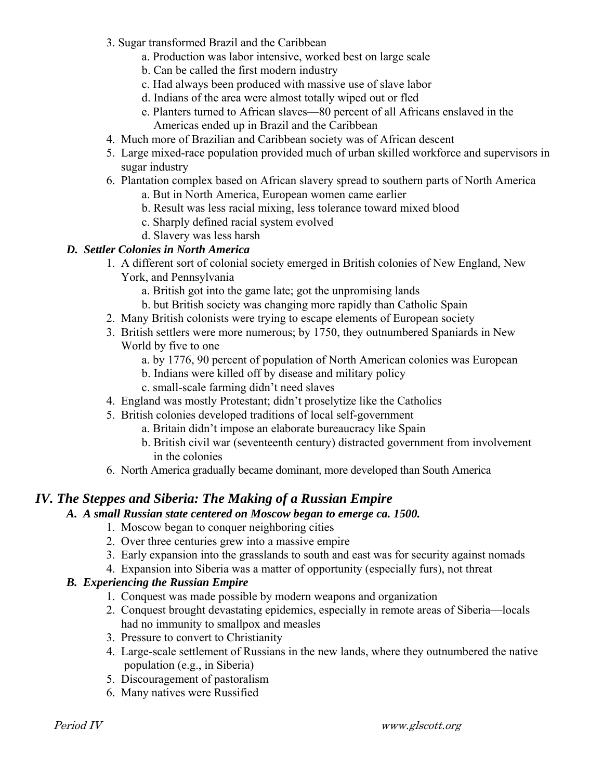- 3. Sugar transformed Brazil and the Caribbean
	- a. Production was labor intensive, worked best on large scale
	- b. Can be called the first modern industry
	- c. Had always been produced with massive use of slave labor
	- d. Indians of the area were almost totally wiped out or fled
	- e. Planters turned to African slaves—80 percent of all Africans enslaved in the Americas ended up in Brazil and the Caribbean
- 4. Much more of Brazilian and Caribbean society was of African descent
- 5. Large mixed-race population provided much of urban skilled workforce and supervisors in sugar industry
- 6. Plantation complex based on African slavery spread to southern parts of North America
	- a. But in North America, European women came earlier
	- b. Result was less racial mixing, less tolerance toward mixed blood
	- c. Sharply defined racial system evolved
	- d. Slavery was less harsh

## *D. Settler Colonies in North America*

- 1. A different sort of colonial society emerged in British colonies of New England, New York, and Pennsylvania
	- a. British got into the game late; got the unpromising lands
	- b. but British society was changing more rapidly than Catholic Spain
- 2. Many British colonists were trying to escape elements of European society
- 3. British settlers were more numerous; by 1750, they outnumbered Spaniards in New World by five to one
	- a. by 1776, 90 percent of population of North American colonies was European
	- b. Indians were killed off by disease and military policy
	- c. small-scale farming didn't need slaves
- 4. England was mostly Protestant; didn't proselytize like the Catholics
- 5. British colonies developed traditions of local self-government
	- a. Britain didn't impose an elaborate bureaucracy like Spain
	- b. British civil war (seventeenth century) distracted government from involvement in the colonies
- 6. North America gradually became dominant, more developed than South America

# *IV. The Steppes and Siberia: The Making of a Russian Empire*

#### *A. A small Russian state centered on Moscow began to emerge ca. 1500.*

- 1. Moscow began to conquer neighboring cities
- 2. Over three centuries grew into a massive empire
- 3. Early expansion into the grasslands to south and east was for security against nomads
- 4. Expansion into Siberia was a matter of opportunity (especially furs), not threat

#### *B. Experiencing the Russian Empire*

- 1. Conquest was made possible by modern weapons and organization
- 2. Conquest brought devastating epidemics, especially in remote areas of Siberia—locals had no immunity to smallpox and measles
- 3. Pressure to convert to Christianity
- 4. Large-scale settlement of Russians in the new lands, where they outnumbered the native population (e.g., in Siberia)
- 5. Discouragement of pastoralism
- 6. Many natives were Russified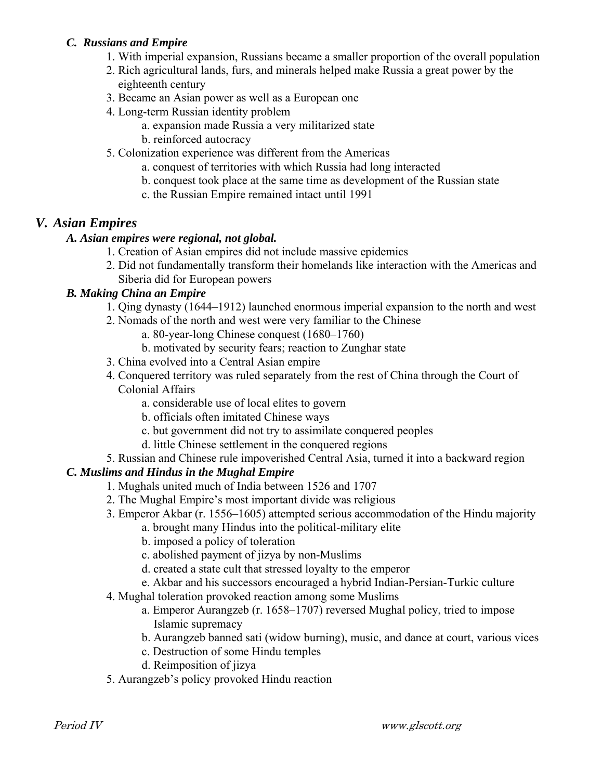## *C. Russians and Empire*

- 1. With imperial expansion, Russians became a smaller proportion of the overall population
- 2. Rich agricultural lands, furs, and minerals helped make Russia a great power by the eighteenth century
- 3. Became an Asian power as well as a European one
- 4. Long-term Russian identity problem
	- a. expansion made Russia a very militarized state
	- b. reinforced autocracy
- 5. Colonization experience was different from the Americas
	- a. conquest of territories with which Russia had long interacted
	- b. conquest took place at the same time as development of the Russian state
	- c. the Russian Empire remained intact until 1991

# *V. Asian Empires*

#### *A. Asian empires were regional, not global.*

- 1. Creation of Asian empires did not include massive epidemics
- 2. Did not fundamentally transform their homelands like interaction with the Americas and Siberia did for European powers

#### *B. Making China an Empire*

- 1. Qing dynasty (1644–1912) launched enormous imperial expansion to the north and west
- 2. Nomads of the north and west were very familiar to the Chinese
	- a. 80-year-long Chinese conquest (1680–1760)
	- b. motivated by security fears; reaction to Zunghar state
- 3. China evolved into a Central Asian empire
- 4. Conquered territory was ruled separately from the rest of China through the Court of Colonial Affairs
	- a. considerable use of local elites to govern
	- b. officials often imitated Chinese ways
	- c. but government did not try to assimilate conquered peoples
	- d. little Chinese settlement in the conquered regions
- 5. Russian and Chinese rule impoverished Central Asia, turned it into a backward region

#### *C. Muslims and Hindus in the Mughal Empire*

- 1. Mughals united much of India between 1526 and 1707
- 2. The Mughal Empire's most important divide was religious
- 3. Emperor Akbar (r. 1556–1605) attempted serious accommodation of the Hindu majority
	- a. brought many Hindus into the political-military elite
	- b. imposed a policy of toleration
	- c. abolished payment of jizya by non-Muslims
	- d. created a state cult that stressed loyalty to the emperor
	- e. Akbar and his successors encouraged a hybrid Indian-Persian-Turkic culture
- 4. Mughal toleration provoked reaction among some Muslims
	- a. Emperor Aurangzeb (r. 1658–1707) reversed Mughal policy, tried to impose Islamic supremacy
	- b. Aurangzeb banned sati (widow burning), music, and dance at court, various vices
	- c. Destruction of some Hindu temples
	- d. Reimposition of jizya
- 5. Aurangzeb's policy provoked Hindu reaction